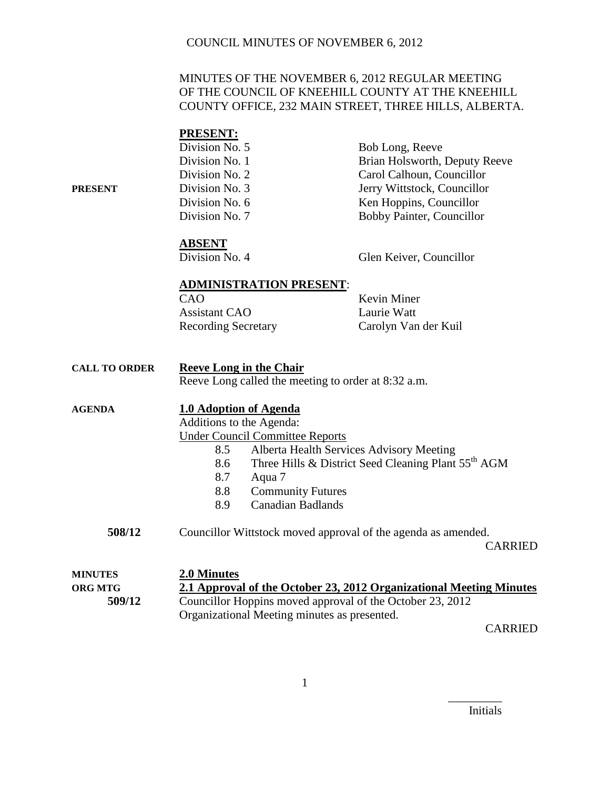### MINUTES OF THE NOVEMBER 6, 2012 REGULAR MEETING OF THE COUNCIL OF KNEEHILL COUNTY AT THE KNEEHILL COUNTY OFFICE, 232 MAIN STREET, THREE HILLS, ALBERTA.

|                      | <b>PRESENT:</b>                                                     |                                                                 |  |
|----------------------|---------------------------------------------------------------------|-----------------------------------------------------------------|--|
|                      | Division No. 5                                                      | Bob Long, Reeve                                                 |  |
|                      | Division No. 1                                                      | Brian Holsworth, Deputy Reeve                                   |  |
|                      | Division No. 2                                                      | Carol Calhoun, Councillor                                       |  |
| <b>PRESENT</b>       | Division No. 3                                                      | Jerry Wittstock, Councillor                                     |  |
|                      | Division No. 6                                                      | Ken Hoppins, Councillor                                         |  |
|                      | Division No. 7                                                      | Bobby Painter, Councillor                                       |  |
|                      | <b>ABSENT</b>                                                       |                                                                 |  |
|                      | Division No. 4                                                      | Glen Keiver, Councillor                                         |  |
|                      | <b>ADMINISTRATION PRESENT:</b>                                      |                                                                 |  |
|                      | CAO                                                                 | Kevin Miner                                                     |  |
|                      | <b>Assistant CAO</b>                                                | Laurie Watt                                                     |  |
|                      | <b>Recording Secretary</b>                                          | Carolyn Van der Kuil                                            |  |
|                      |                                                                     |                                                                 |  |
| <b>CALL TO ORDER</b> | <b>Reeve Long in the Chair</b>                                      |                                                                 |  |
|                      | Reeve Long called the meeting to order at 8:32 a.m.                 |                                                                 |  |
| <b>AGENDA</b>        | <b>1.0 Adoption of Agenda</b>                                       |                                                                 |  |
|                      | Additions to the Agenda:                                            |                                                                 |  |
|                      | <b>Under Council Committee Reports</b>                              |                                                                 |  |
|                      | 8.5                                                                 | Alberta Health Services Advisory Meeting                        |  |
|                      | 8.6                                                                 | Three Hills & District Seed Cleaning Plant 55 <sup>th</sup> AGM |  |
|                      | 8.7<br>Aqua 7                                                       |                                                                 |  |
|                      | 8.8<br><b>Community Futures</b>                                     |                                                                 |  |
|                      | <b>Canadian Badlands</b><br>8.9                                     |                                                                 |  |
| 508/12               | Councillor Wittstock moved approval of the agenda as amended.       |                                                                 |  |
|                      |                                                                     | <b>CARRIED</b>                                                  |  |
| <b>MINUTES</b>       | 2.0 Minutes                                                         |                                                                 |  |
| <b>ORG MTG</b>       | 2.1 Approval of the October 23, 2012 Organizational Meeting Minutes |                                                                 |  |
| 509/12               | Councillor Hoppins moved approval of the October 23, 2012           |                                                                 |  |
|                      | Organizational Meeting minutes as presented.                        |                                                                 |  |

CARRIED

Initials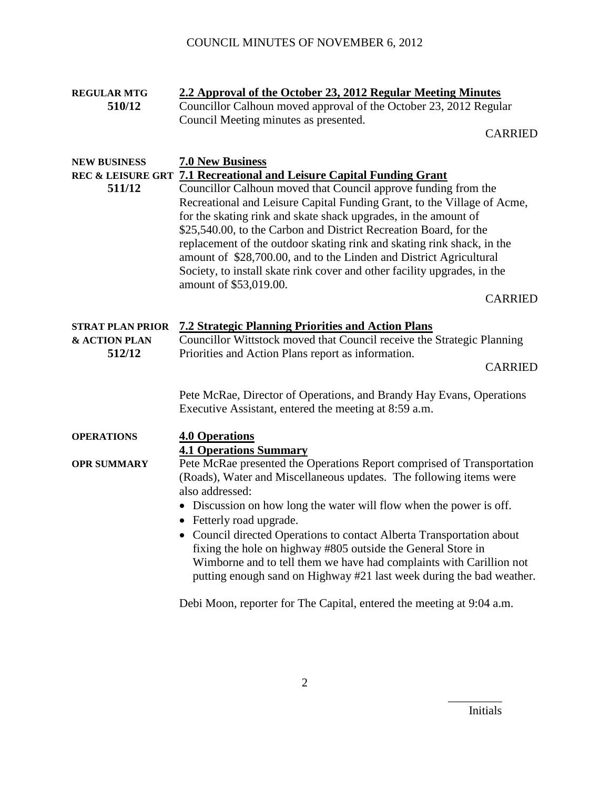| <b>REGULAR MTG</b>      | 2.2 Approval of the October 23, 2012 Regular Meeting Minutes                     |  |  |
|-------------------------|----------------------------------------------------------------------------------|--|--|
| 510/12                  | Councillor Calhoun moved approval of the October 23, 2012 Regular                |  |  |
|                         | Council Meeting minutes as presented.                                            |  |  |
|                         | <b>CARRIED</b>                                                                   |  |  |
|                         |                                                                                  |  |  |
| <b>NEW BUSINESS</b>     | <b>7.0 New Business</b>                                                          |  |  |
|                         | REC & LEISURE GRT 7.1 Recreational and Leisure Capital Funding Grant             |  |  |
| 511/12                  | Councillor Calhoun moved that Council approve funding from the                   |  |  |
|                         | Recreational and Leisure Capital Funding Grant, to the Village of Acme,          |  |  |
|                         | for the skating rink and skate shack upgrades, in the amount of                  |  |  |
|                         | \$25,540.00, to the Carbon and District Recreation Board, for the                |  |  |
|                         | replacement of the outdoor skating rink and skating rink shack, in the           |  |  |
|                         | amount of \$28,700.00, and to the Linden and District Agricultural               |  |  |
|                         | Society, to install skate rink cover and other facility upgrades, in the         |  |  |
|                         | amount of \$53,019.00.                                                           |  |  |
|                         | <b>CARRIED</b>                                                                   |  |  |
|                         |                                                                                  |  |  |
| <b>STRAT PLAN PRIOR</b> | <b>7.2 Strategic Planning Priorities and Action Plans</b>                        |  |  |
| & ACTION PLAN           | Councillor Wittstock moved that Council receive the Strategic Planning           |  |  |
| 512/12                  |                                                                                  |  |  |
|                         | Priorities and Action Plans report as information.<br><b>CARRIED</b>             |  |  |
|                         |                                                                                  |  |  |
|                         | Pete McRae, Director of Operations, and Brandy Hay Evans, Operations             |  |  |
|                         | Executive Assistant, entered the meeting at 8:59 a.m.                            |  |  |
|                         |                                                                                  |  |  |
| <b>OPERATIONS</b>       | <b>4.0 Operations</b>                                                            |  |  |
|                         | <b>4.1 Operations Summary</b>                                                    |  |  |
| <b>OPR SUMMARY</b>      | Pete McRae presented the Operations Report comprised of Transportation           |  |  |
|                         | (Roads), Water and Miscellaneous updates. The following items were               |  |  |
|                         | also addressed:                                                                  |  |  |
|                         |                                                                                  |  |  |
|                         | • Discussion on how long the water will flow when the power is off.              |  |  |
|                         | • Fetterly road upgrade.                                                         |  |  |
|                         | Council directed Operations to contact Alberta Transportation about<br>$\bullet$ |  |  |
|                         | fixing the hole on highway #805 outside the General Store in                     |  |  |
|                         | Wimborne and to tell them we have had complaints with Carillion not              |  |  |
|                         | putting enough sand on Highway #21 last week during the bad weather.             |  |  |
|                         |                                                                                  |  |  |

Debi Moon, reporter for The Capital, entered the meeting at 9:04 a.m.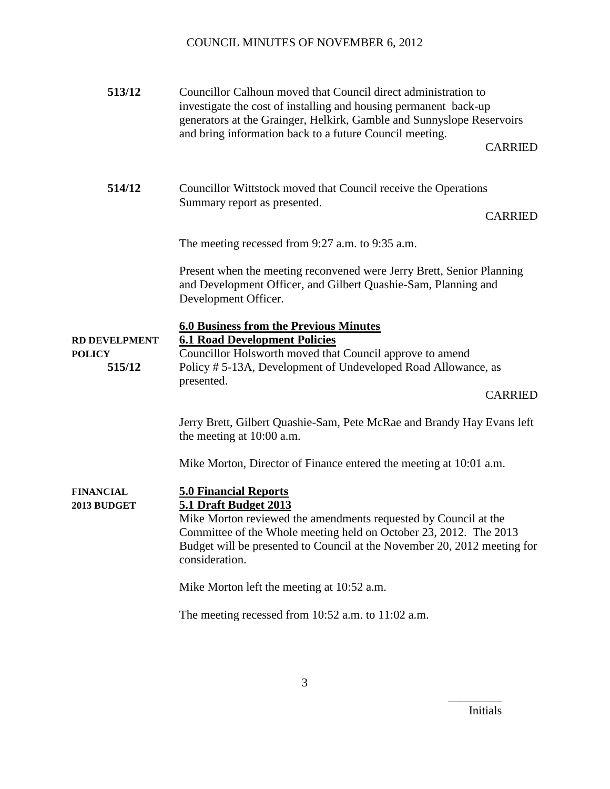| 513/12                                          | Councillor Calhoun moved that Council direct administration to<br>investigate the cost of installing and housing permanent back-up<br>generators at the Grainger, Helkirk, Gamble and Sunnyslope Reservoirs<br>and bring information back to a future Council meeting.<br><b>CARRIED</b>           |  |
|-------------------------------------------------|----------------------------------------------------------------------------------------------------------------------------------------------------------------------------------------------------------------------------------------------------------------------------------------------------|--|
| 514/12                                          | Councillor Wittstock moved that Council receive the Operations<br>Summary report as presented.<br><b>CARRIED</b>                                                                                                                                                                                   |  |
|                                                 | The meeting recessed from 9:27 a.m. to 9:35 a.m.                                                                                                                                                                                                                                                   |  |
|                                                 | Present when the meeting reconvened were Jerry Brett, Senior Planning<br>and Development Officer, and Gilbert Quashie-Sam, Planning and<br>Development Officer.                                                                                                                                    |  |
| <b>RD DEVELPMENT</b><br><b>POLICY</b><br>515/12 | <b>6.0 Business from the Previous Minutes</b><br><b>6.1 Road Development Policies</b><br>Councillor Holsworth moved that Council approve to amend<br>Policy #5-13A, Development of Undeveloped Road Allowance, as<br>presented.<br><b>CARRIED</b>                                                  |  |
|                                                 | Jerry Brett, Gilbert Quashie-Sam, Pete McRae and Brandy Hay Evans left<br>the meeting at 10:00 a.m.                                                                                                                                                                                                |  |
|                                                 | Mike Morton, Director of Finance entered the meeting at 10:01 a.m.                                                                                                                                                                                                                                 |  |
| <b>FINANCIAL</b><br>2013 BUDGET                 | <b>5.0 Financial Reports</b><br><b>5.1 Draft Budget 2013</b><br>Mike Morton reviewed the amendments requested by Council at the<br>Committee of the Whole meeting held on October 23, 2012. The 2013<br>Budget will be presented to Council at the November 20, 2012 meeting for<br>consideration. |  |
|                                                 | Mike Morton left the meeting at 10:52 a.m.                                                                                                                                                                                                                                                         |  |
|                                                 | The meeting recessed from $10:52$ a.m. to $11:02$ a.m.                                                                                                                                                                                                                                             |  |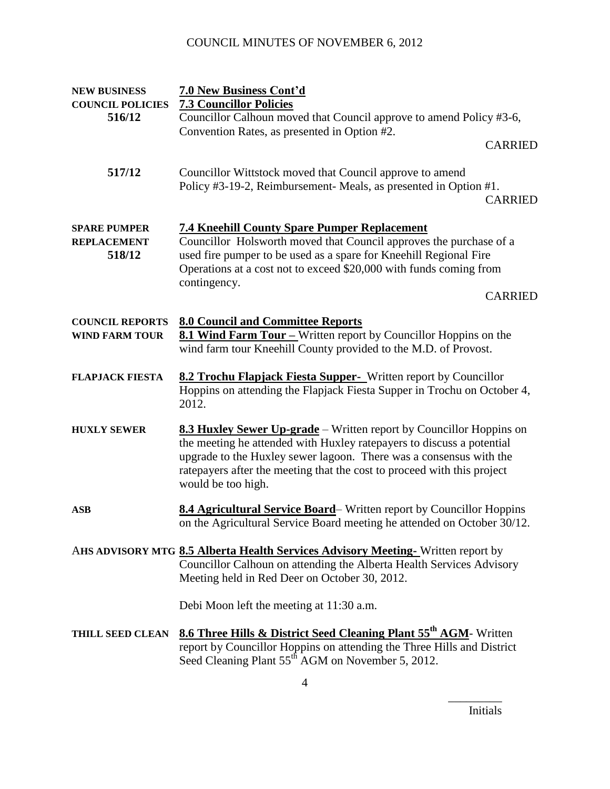| <b>NEW BUSINESS</b><br><b>COUNCIL POLICIES</b>      | 7.0 New Business Cont'd<br><b>7.3 Councillor Policies</b>                                                                                                                                                                                                                                                           |  |  |
|-----------------------------------------------------|---------------------------------------------------------------------------------------------------------------------------------------------------------------------------------------------------------------------------------------------------------------------------------------------------------------------|--|--|
| 516/12                                              | Councillor Calhoun moved that Council approve to amend Policy #3-6,                                                                                                                                                                                                                                                 |  |  |
|                                                     | Convention Rates, as presented in Option #2.                                                                                                                                                                                                                                                                        |  |  |
|                                                     | <b>CARRIED</b>                                                                                                                                                                                                                                                                                                      |  |  |
| 517/12                                              | Councillor Wittstock moved that Council approve to amend<br>Policy #3-19-2, Reimbursement- Meals, as presented in Option #1.<br><b>CARRIED</b>                                                                                                                                                                      |  |  |
| <b>SPARE PUMPER</b><br><b>REPLACEMENT</b><br>518/12 | <b>7.4 Kneehill County Spare Pumper Replacement</b><br>Councillor Holsworth moved that Council approves the purchase of a<br>used fire pumper to be used as a spare for Kneehill Regional Fire<br>Operations at a cost not to exceed \$20,000 with funds coming from<br>contingency.<br><b>CARRIED</b>              |  |  |
| <b>COUNCIL REPORTS</b><br><b>WIND FARM TOUR</b>     | <b>8.0 Council and Committee Reports</b><br>8.1 Wind Farm Tour – Written report by Councillor Hoppins on the<br>wind farm tour Kneehill County provided to the M.D. of Provost.                                                                                                                                     |  |  |
| <b>FLAPJACK FIESTA</b>                              | 8.2 Trochu Flapjack Fiesta Supper- Written report by Councillor<br>Hoppins on attending the Flapjack Fiesta Supper in Trochu on October 4,<br>2012.                                                                                                                                                                 |  |  |
| <b>HUXLY SEWER</b>                                  | 8.3 Huxley Sewer Up-grade – Written report by Councillor Hoppins on<br>the meeting he attended with Huxley ratepayers to discuss a potential<br>upgrade to the Huxley sewer lagoon. There was a consensus with the<br>ratepayers after the meeting that the cost to proceed with this project<br>would be too high. |  |  |
| <b>ASB</b>                                          | 8.4 Agricultural Service Board–Written report by Councillor Hoppins<br>on the Agricultural Service Board meeting he attended on October 30/12.                                                                                                                                                                      |  |  |
|                                                     | AHS ADVISORY MTG 8.5 Alberta Health Services Advisory Meeting-Written report by<br>Councillor Calhoun on attending the Alberta Health Services Advisory<br>Meeting held in Red Deer on October 30, 2012.                                                                                                            |  |  |
|                                                     | Debi Moon left the meeting at 11:30 a.m.                                                                                                                                                                                                                                                                            |  |  |
| <b>THILL SEED CLEAN</b>                             | <b>8.6 Three Hills &amp; District Seed Cleaning Plant 55th AGM-</b> Written<br>report by Councillor Hoppins on attending the Three Hills and District<br>Seed Cleaning Plant 55 <sup>th</sup> AGM on November 5, 2012.                                                                                              |  |  |

Initials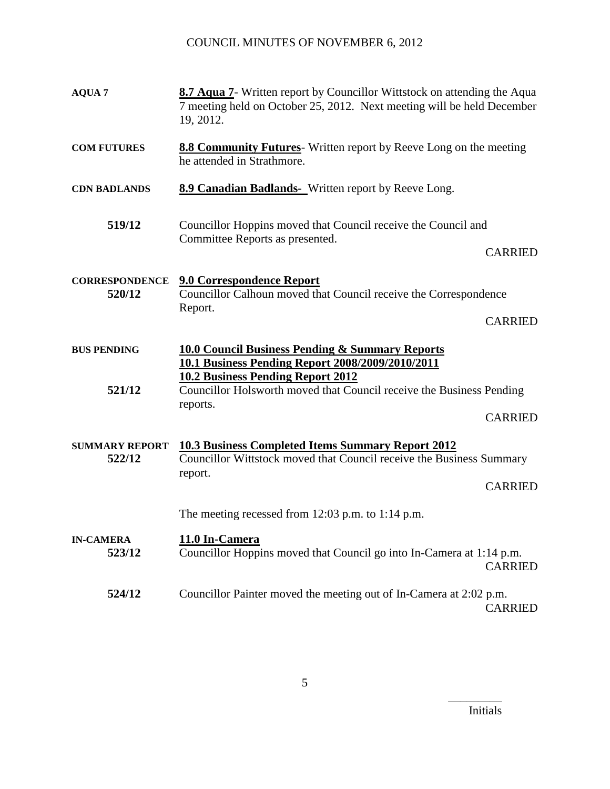| <b>AQUA 7</b>                   | <b>8.7 Aqua 7-</b> Written report by Councillor Wittstock on attending the Aqua<br>7 meeting held on October 25, 2012. Next meeting will be held December<br>19, 2012. |                |  |
|---------------------------------|------------------------------------------------------------------------------------------------------------------------------------------------------------------------|----------------|--|
| <b>COM FUTURES</b>              | 8.8 Community Futures-Written report by Reeve Long on the meeting<br>he attended in Strathmore.                                                                        |                |  |
| <b>CDN BADLANDS</b>             | <b>8.9 Canadian Badlands-</b> Written report by Reeve Long.                                                                                                            |                |  |
| 519/12                          | Councillor Hoppins moved that Council receive the Council and<br>Committee Reports as presented.                                                                       | <b>CARRIED</b> |  |
| <b>CORRESPONDENCE</b><br>520/12 | 9.0 Correspondence Report<br>Councillor Calhoun moved that Council receive the Correspondence<br>Report.                                                               | <b>CARRIED</b> |  |
| <b>BUS PENDING</b>              | <b>10.0 Council Business Pending &amp; Summary Reports</b><br>10.1 Business Pending Report 2008/2009/2010/2011                                                         |                |  |
| 521/12                          | <b>10.2 Business Pending Report 2012</b><br>Councillor Holsworth moved that Council receive the Business Pending<br>reports.                                           |                |  |
|                                 |                                                                                                                                                                        | <b>CARRIED</b> |  |
| <b>SUMMARY REPORT</b><br>522/12 | <b>10.3 Business Completed Items Summary Report 2012</b><br>Councillor Wittstock moved that Council receive the Business Summary<br>report.                            | <b>CARRIED</b> |  |
|                                 | The meeting recessed from $12:03$ p.m. to $1:14$ p.m.                                                                                                                  |                |  |
| <b>IN-CAMERA</b><br>523/12      | 11.0 In-Camera<br>Councillor Hoppins moved that Council go into In-Camera at 1:14 p.m.                                                                                 | <b>CARRIED</b> |  |
| 524/12                          | Councillor Painter moved the meeting out of In-Camera at 2:02 p.m.                                                                                                     | <b>CARRIED</b> |  |

Initials